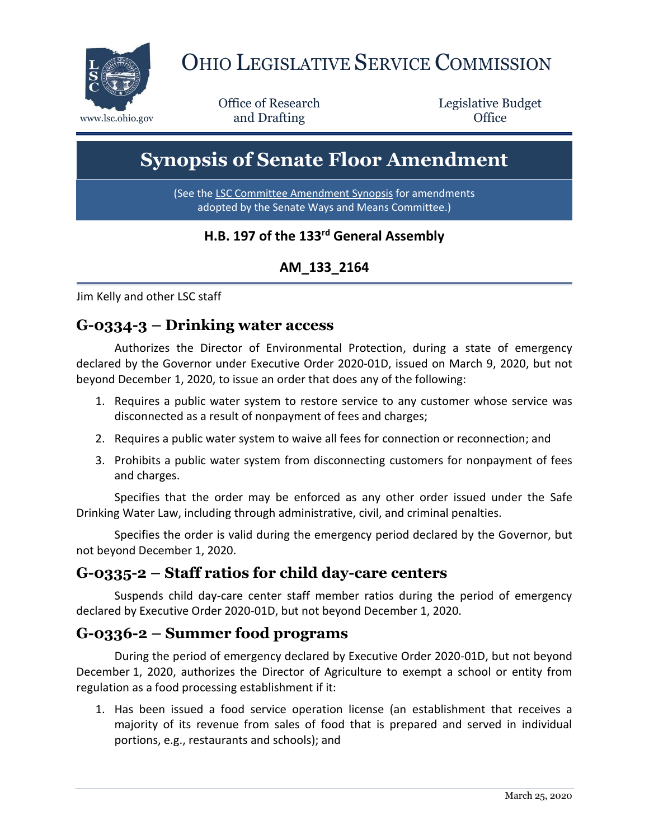

# OHIO LEGISLATIVE SERVICE COMMISSION

Office of Research www.lsc.ohio.gov **and Drafting Office** 

Legislative Budget

## **Synopsis of Senate Floor Amendment**

(See the [LSC Committee Amendment Synopsis](https://www.legislature.ohio.gov/download?key=13484&format=pdf) for amendments adopted by the Senate Ways and Means Committee.)

#### **H.B. 197 of the 133rd General Assembly**

#### **AM\_133\_2164**

Jim Kelly and other LSC staff

#### **G-0334-3 – Drinking water access**

Authorizes the Director of Environmental Protection, during a state of emergency declared by the Governor under Executive Order 2020-01D, issued on March 9, 2020, but not beyond December 1, 2020, to issue an order that does any of the following:

- 1. Requires a public water system to restore service to any customer whose service was disconnected as a result of nonpayment of fees and charges;
- 2. Requires a public water system to waive all fees for connection or reconnection; and
- 3. Prohibits a public water system from disconnecting customers for nonpayment of fees and charges.

Specifies that the order may be enforced as any other order issued under the Safe Drinking Water Law, including through administrative, civil, and criminal penalties.

Specifies the order is valid during the emergency period declared by the Governor, but not beyond December 1, 2020.

#### **G-0335-2 – Staff ratios for child day-care centers**

Suspends child day-care center staff member ratios during the period of emergency declared by Executive Order 2020-01D, but not beyond December 1, 2020.

#### **G-0336-2 – Summer food programs**

During the period of emergency declared by Executive Order 2020-01D, but not beyond December 1, 2020, authorizes the Director of Agriculture to exempt a school or entity from regulation as a food processing establishment if it:

1. Has been issued a food service operation license (an establishment that receives a majority of its revenue from sales of food that is prepared and served in individual portions, e.g., restaurants and schools); and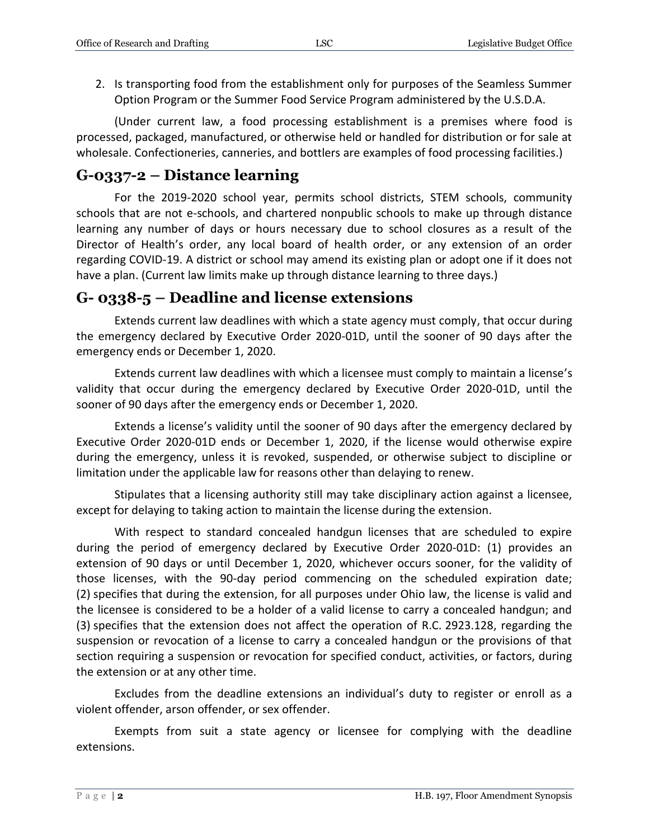2. Is transporting food from the establishment only for purposes of the Seamless Summer Option Program or the Summer Food Service Program administered by the U.S.D.A.

(Under current law, a food processing establishment is a premises where food is processed, packaged, manufactured, or otherwise held or handled for distribution or for sale at wholesale. Confectioneries, canneries, and bottlers are examples of food processing facilities.)

#### **G-0337-2 – Distance learning**

For the 2019-2020 school year, permits school districts, STEM schools, community schools that are not e-schools, and chartered nonpublic schools to make up through distance learning any number of days or hours necessary due to school closures as a result of the Director of Health's order, any local board of health order, or any extension of an order regarding COVID-19. A district or school may amend its existing plan or adopt one if it does not have a plan. (Current law limits make up through distance learning to three days.)

#### **G- 0338-5 – Deadline and license extensions**

Extends current law deadlines with which a state agency must comply, that occur during the emergency declared by Executive Order 2020-01D, until the sooner of 90 days after the emergency ends or December 1, 2020.

Extends current law deadlines with which a licensee must comply to maintain a license's validity that occur during the emergency declared by Executive Order 2020-01D, until the sooner of 90 days after the emergency ends or December 1, 2020.

Extends a license's validity until the sooner of 90 days after the emergency declared by Executive Order 2020-01D ends or December 1, 2020, if the license would otherwise expire during the emergency, unless it is revoked, suspended, or otherwise subject to discipline or limitation under the applicable law for reasons other than delaying to renew.

Stipulates that a licensing authority still may take disciplinary action against a licensee, except for delaying to taking action to maintain the license during the extension.

With respect to standard concealed handgun licenses that are scheduled to expire during the period of emergency declared by Executive Order 2020-01D: (1) provides an extension of 90 days or until December 1, 2020, whichever occurs sooner, for the validity of those licenses, with the 90-day period commencing on the scheduled expiration date; (2) specifies that during the extension, for all purposes under Ohio law, the license is valid and the licensee is considered to be a holder of a valid license to carry a concealed handgun; and (3) specifies that the extension does not affect the operation of R.C. 2923.128, regarding the suspension or revocation of a license to carry a concealed handgun or the provisions of that section requiring a suspension or revocation for specified conduct, activities, or factors, during the extension or at any other time.

Excludes from the deadline extensions an individual's duty to register or enroll as a violent offender, arson offender, or sex offender.

Exempts from suit a state agency or licensee for complying with the deadline extensions.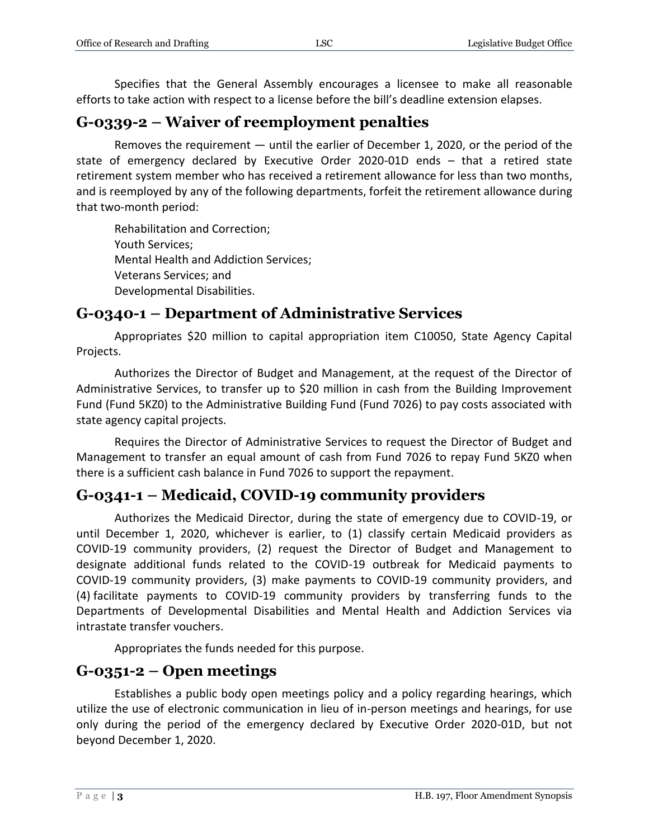Specifies that the General Assembly encourages a licensee to make all reasonable efforts to take action with respect to a license before the bill's deadline extension elapses.

#### **G-0339-2 – Waiver of reemployment penalties**

Removes the requirement — until the earlier of December 1, 2020, or the period of the state of emergency declared by Executive Order 2020-01D ends – that a retired state retirement system member who has received a retirement allowance for less than two months, and is reemployed by any of the following departments, forfeit the retirement allowance during that two-month period:

Rehabilitation and Correction; Youth Services; Mental Health and Addiction Services; Veterans Services; and Developmental Disabilities.

#### **G-0340-1 – Department of Administrative Services**

Appropriates \$20 million to capital appropriation item C10050, State Agency Capital Projects.

Authorizes the Director of Budget and Management, at the request of the Director of Administrative Services, to transfer up to \$20 million in cash from the Building Improvement Fund (Fund 5KZ0) to the Administrative Building Fund (Fund 7026) to pay costs associated with state agency capital projects.

Requires the Director of Administrative Services to request the Director of Budget and Management to transfer an equal amount of cash from Fund 7026 to repay Fund 5KZ0 when there is a sufficient cash balance in Fund 7026 to support the repayment.

#### **G-0341-1 – Medicaid, COVID-19 community providers**

Authorizes the Medicaid Director, during the state of emergency due to COVID-19, or until December 1, 2020, whichever is earlier, to (1) classify certain Medicaid providers as COVID-19 community providers, (2) request the Director of Budget and Management to designate additional funds related to the COVID-19 outbreak for Medicaid payments to COVID-19 community providers, (3) make payments to COVID-19 community providers, and (4) facilitate payments to COVID-19 community providers by transferring funds to the Departments of Developmental Disabilities and Mental Health and Addiction Services via intrastate transfer vouchers.

Appropriates the funds needed for this purpose.

#### **G-0351-2 – Open meetings**

Establishes a public body open meetings policy and a policy regarding hearings, which utilize the use of electronic communication in lieu of in-person meetings and hearings, for use only during the period of the emergency declared by Executive Order 2020-01D, but not beyond December 1, 2020.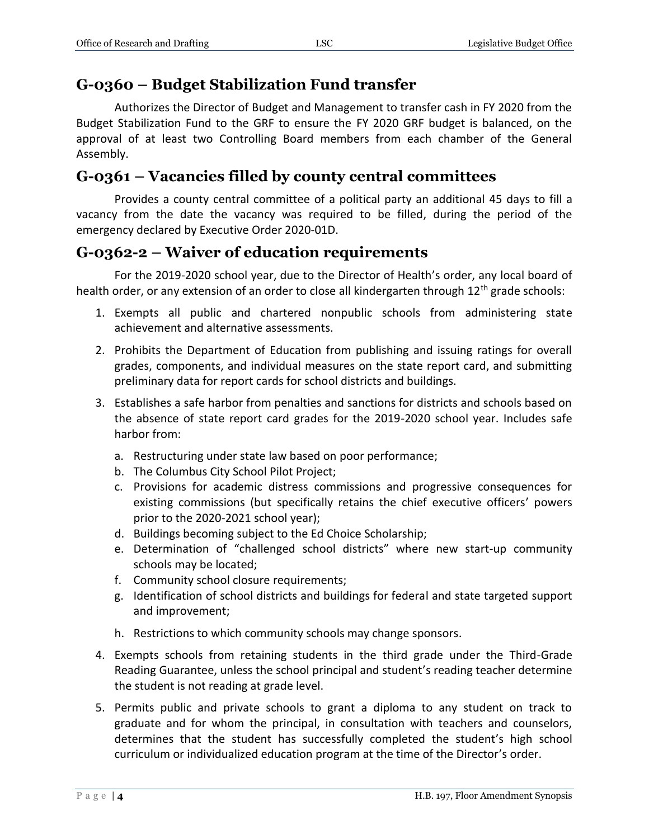#### **G-0360 – Budget Stabilization Fund transfer**

Authorizes the Director of Budget and Management to transfer cash in FY 2020 from the Budget Stabilization Fund to the GRF to ensure the FY 2020 GRF budget is balanced, on the approval of at least two Controlling Board members from each chamber of the General Assembly.

#### **G-0361 – Vacancies filled by county central committees**

Provides a county central committee of a political party an additional 45 days to fill a vacancy from the date the vacancy was required to be filled, during the period of the emergency declared by Executive Order 2020-01D.

#### **G-0362-2 – Waiver of education requirements**

For the 2019-2020 school year, due to the Director of Health's order, any local board of health order, or any extension of an order to close all kindergarten through 12<sup>th</sup> grade schools:

- 1. Exempts all public and chartered nonpublic schools from administering state achievement and alternative assessments.
- 2. Prohibits the Department of Education from publishing and issuing ratings for overall grades, components, and individual measures on the state report card, and submitting preliminary data for report cards for school districts and buildings.
- 3. Establishes a safe harbor from penalties and sanctions for districts and schools based on the absence of state report card grades for the 2019-2020 school year. Includes safe harbor from:
	- a. Restructuring under state law based on poor performance;
	- b. The Columbus City School Pilot Project;
	- c. Provisions for academic distress commissions and progressive consequences for existing commissions (but specifically retains the chief executive officers' powers prior to the 2020-2021 school year);
	- d. Buildings becoming subject to the Ed Choice Scholarship;
	- e. Determination of "challenged school districts" where new start-up community schools may be located;
	- f. Community school closure requirements;
	- g. Identification of school districts and buildings for federal and state targeted support and improvement;
	- h. Restrictions to which community schools may change sponsors.
- 4. Exempts schools from retaining students in the third grade under the Third-Grade Reading Guarantee, unless the school principal and student's reading teacher determine the student is not reading at grade level.
- 5. Permits public and private schools to grant a diploma to any student on track to graduate and for whom the principal, in consultation with teachers and counselors, determines that the student has successfully completed the student's high school curriculum or individualized education program at the time of the Director's order.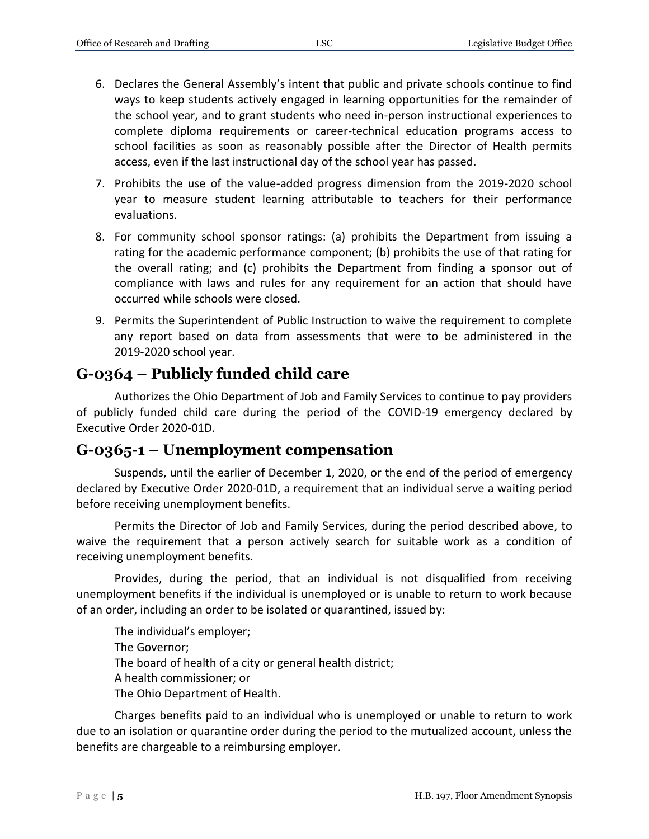- 6. Declares the General Assembly's intent that public and private schools continue to find ways to keep students actively engaged in learning opportunities for the remainder of the school year, and to grant students who need in-person instructional experiences to complete diploma requirements or career-technical education programs access to school facilities as soon as reasonably possible after the Director of Health permits access, even if the last instructional day of the school year has passed.
- 7. Prohibits the use of the value-added progress dimension from the 2019-2020 school year to measure student learning attributable to teachers for their performance evaluations.
- 8. For community school sponsor ratings: (a) prohibits the Department from issuing a rating for the academic performance component; (b) prohibits the use of that rating for the overall rating; and (c) prohibits the Department from finding a sponsor out of compliance with laws and rules for any requirement for an action that should have occurred while schools were closed.
- 9. Permits the Superintendent of Public Instruction to waive the requirement to complete any report based on data from assessments that were to be administered in the 2019-2020 school year.

#### **G-0364 – Publicly funded child care**

Authorizes the Ohio Department of Job and Family Services to continue to pay providers of publicly funded child care during the period of the COVID-19 emergency declared by Executive Order 2020-01D.

#### **G-0365-1 – Unemployment compensation**

Suspends, until the earlier of December 1, 2020, or the end of the period of emergency declared by Executive Order 2020-01D, a requirement that an individual serve a waiting period before receiving unemployment benefits.

Permits the Director of Job and Family Services, during the period described above, to waive the requirement that a person actively search for suitable work as a condition of receiving unemployment benefits.

Provides, during the period, that an individual is not disqualified from receiving unemployment benefits if the individual is unemployed or is unable to return to work because of an order, including an order to be isolated or quarantined, issued by:

The individual's employer; The Governor; The board of health of a city or general health district; A health commissioner; or The Ohio Department of Health.

Charges benefits paid to an individual who is unemployed or unable to return to work due to an isolation or quarantine order during the period to the mutualized account, unless the benefits are chargeable to a reimbursing employer.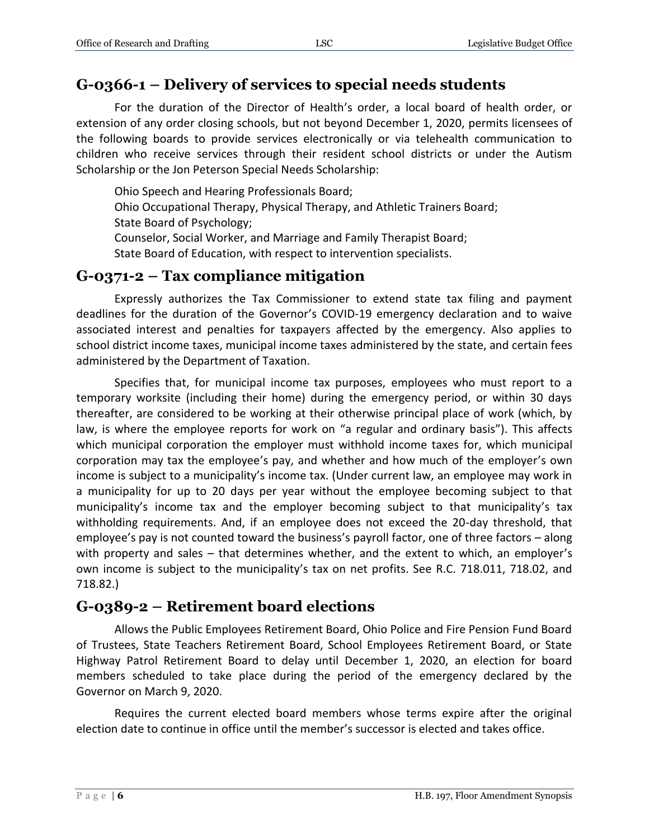#### **G-0366-1 – Delivery of services to special needs students**

For the duration of the Director of Health's order, a local board of health order, or extension of any order closing schools, but not beyond December 1, 2020, permits licensees of the following boards to provide services electronically or via telehealth communication to children who receive services through their resident school districts or under the Autism Scholarship or the Jon Peterson Special Needs Scholarship:

Ohio Speech and Hearing Professionals Board;

Ohio Occupational Therapy, Physical Therapy, and Athletic Trainers Board; State Board of Psychology;

Counselor, Social Worker, and Marriage and Family Therapist Board;

State Board of Education, with respect to intervention specialists.

#### **G-0371-2 – Tax compliance mitigation**

Expressly authorizes the Tax Commissioner to extend state tax filing and payment deadlines for the duration of the Governor's COVID-19 emergency declaration and to waive associated interest and penalties for taxpayers affected by the emergency. Also applies to school district income taxes, municipal income taxes administered by the state, and certain fees administered by the Department of Taxation.

Specifies that, for municipal income tax purposes, employees who must report to a temporary worksite (including their home) during the emergency period, or within 30 days thereafter, are considered to be working at their otherwise principal place of work (which, by law, is where the employee reports for work on "a regular and ordinary basis"). This affects which municipal corporation the employer must withhold income taxes for, which municipal corporation may tax the employee's pay, and whether and how much of the employer's own income is subject to a municipality's income tax. (Under current law, an employee may work in a municipality for up to 20 days per year without the employee becoming subject to that municipality's income tax and the employer becoming subject to that municipality's tax withholding requirements. And, if an employee does not exceed the 20-day threshold, that employee's pay is not counted toward the business's payroll factor, one of three factors – along with property and sales – that determines whether, and the extent to which, an employer's own income is subject to the municipality's tax on net profits. See R.C. 718.011, 718.02, and 718.82.)

#### **G-0389-2 – Retirement board elections**

Allows the Public Employees Retirement Board, Ohio Police and Fire Pension Fund Board of Trustees, State Teachers Retirement Board, School Employees Retirement Board, or State Highway Patrol Retirement Board to delay until December 1, 2020, an election for board members scheduled to take place during the period of the emergency declared by the Governor on March 9, 2020.

Requires the current elected board members whose terms expire after the original election date to continue in office until the member's successor is elected and takes office.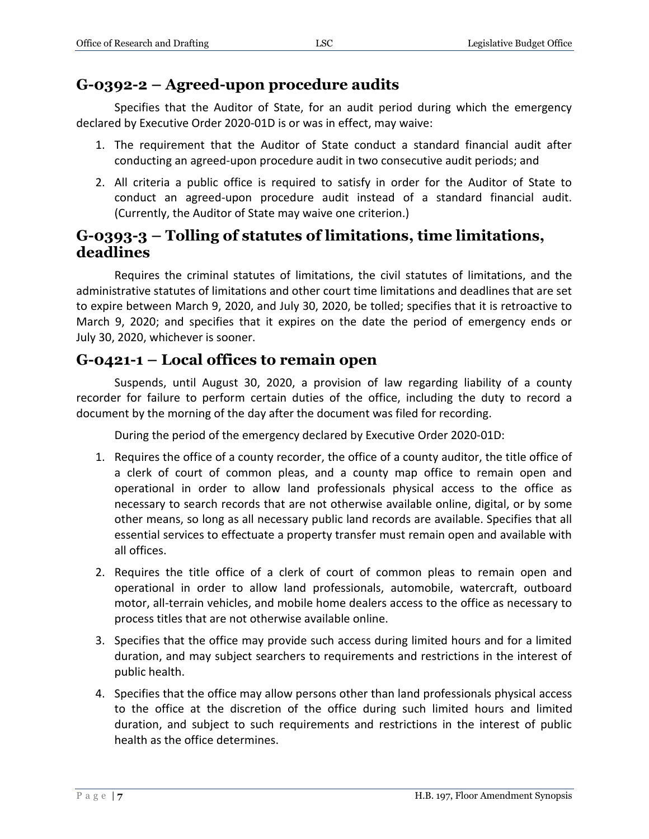#### **G-0392-2 – Agreed-upon procedure audits**

Specifies that the Auditor of State, for an audit period during which the emergency declared by Executive Order 2020-01D is or was in effect, may waive:

- 1. The requirement that the Auditor of State conduct a standard financial audit after conducting an agreed-upon procedure audit in two consecutive audit periods; and
- 2. All criteria a public office is required to satisfy in order for the Auditor of State to conduct an agreed-upon procedure audit instead of a standard financial audit. (Currently, the Auditor of State may waive one criterion.)

#### **G-0393-3 – Tolling of statutes of limitations, time limitations, deadlines**

Requires the criminal statutes of limitations, the civil statutes of limitations, and the administrative statutes of limitations and other court time limitations and deadlines that are set to expire between March 9, 2020, and July 30, 2020, be tolled; specifies that it is retroactive to March 9, 2020; and specifies that it expires on the date the period of emergency ends or July 30, 2020, whichever is sooner.

#### **G-0421-1 – Local offices to remain open**

Suspends, until August 30, 2020, a provision of law regarding liability of a county recorder for failure to perform certain duties of the office, including the duty to record a document by the morning of the day after the document was filed for recording.

During the period of the emergency declared by Executive Order 2020-01D:

- 1. Requires the office of a county recorder, the office of a county auditor, the title office of a clerk of court of common pleas, and a county map office to remain open and operational in order to allow land professionals physical access to the office as necessary to search records that are not otherwise available online, digital, or by some other means, so long as all necessary public land records are available. Specifies that all essential services to effectuate a property transfer must remain open and available with all offices.
- 2. Requires the title office of a clerk of court of common pleas to remain open and operational in order to allow land professionals, automobile, watercraft, outboard motor, all-terrain vehicles, and mobile home dealers access to the office as necessary to process titles that are not otherwise available online.
- 3. Specifies that the office may provide such access during limited hours and for a limited duration, and may subject searchers to requirements and restrictions in the interest of public health.
- 4. Specifies that the office may allow persons other than land professionals physical access to the office at the discretion of the office during such limited hours and limited duration, and subject to such requirements and restrictions in the interest of public health as the office determines.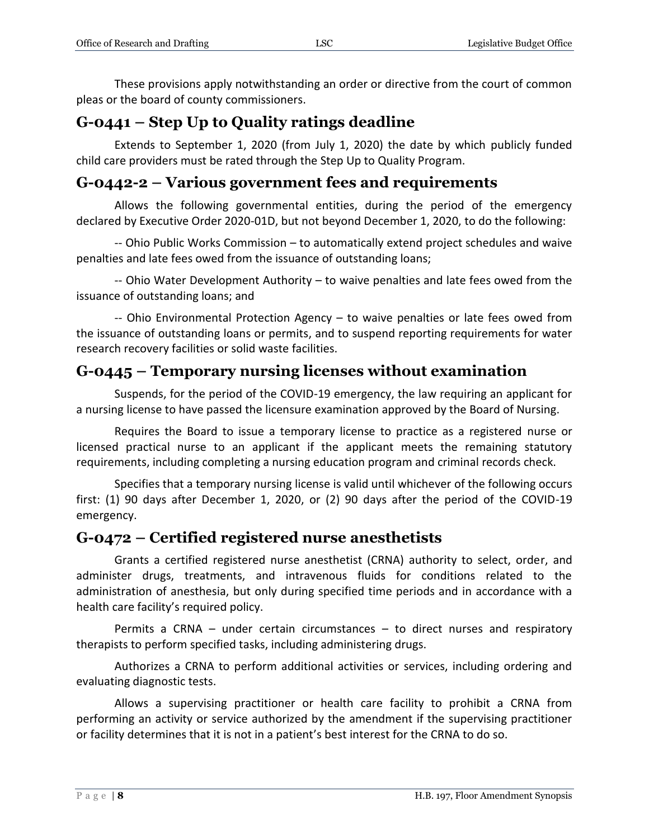These provisions apply notwithstanding an order or directive from the court of common pleas or the board of county commissioners.

## **G-0441 – Step Up to Quality ratings deadline**

Extends to September 1, 2020 (from July 1, 2020) the date by which publicly funded child care providers must be rated through the Step Up to Quality Program.

### **G-0442-2 – Various government fees and requirements**

Allows the following governmental entities, during the period of the emergency declared by Executive Order 2020-01D, but not beyond December 1, 2020, to do the following:

-- Ohio Public Works Commission – to automatically extend project schedules and waive penalties and late fees owed from the issuance of outstanding loans;

-- Ohio Water Development Authority – to waive penalties and late fees owed from the issuance of outstanding loans; and

-- Ohio Environmental Protection Agency – to waive penalties or late fees owed from the issuance of outstanding loans or permits, and to suspend reporting requirements for water research recovery facilities or solid waste facilities.

## **G-0445 – Temporary nursing licenses without examination**

Suspends, for the period of the COVID-19 emergency, the law requiring an applicant for a nursing license to have passed the licensure examination approved by the Board of Nursing.

Requires the Board to issue a temporary license to practice as a registered nurse or licensed practical nurse to an applicant if the applicant meets the remaining statutory requirements, including completing a nursing education program and criminal records check.

Specifies that a temporary nursing license is valid until whichever of the following occurs first: (1) 90 days after December 1, 2020, or (2) 90 days after the period of the COVID-19 emergency.

## **G-0472 – Certified registered nurse anesthetists**

Grants a certified registered nurse anesthetist (CRNA) authority to select, order, and administer drugs, treatments, and intravenous fluids for conditions related to the administration of anesthesia, but only during specified time periods and in accordance with a health care facility's required policy.

Permits a CRNA – under certain circumstances – to direct nurses and respiratory therapists to perform specified tasks, including administering drugs.

Authorizes a CRNA to perform additional activities or services, including ordering and evaluating diagnostic tests.

Allows a supervising practitioner or health care facility to prohibit a CRNA from performing an activity or service authorized by the amendment if the supervising practitioner or facility determines that it is not in a patient's best interest for the CRNA to do so.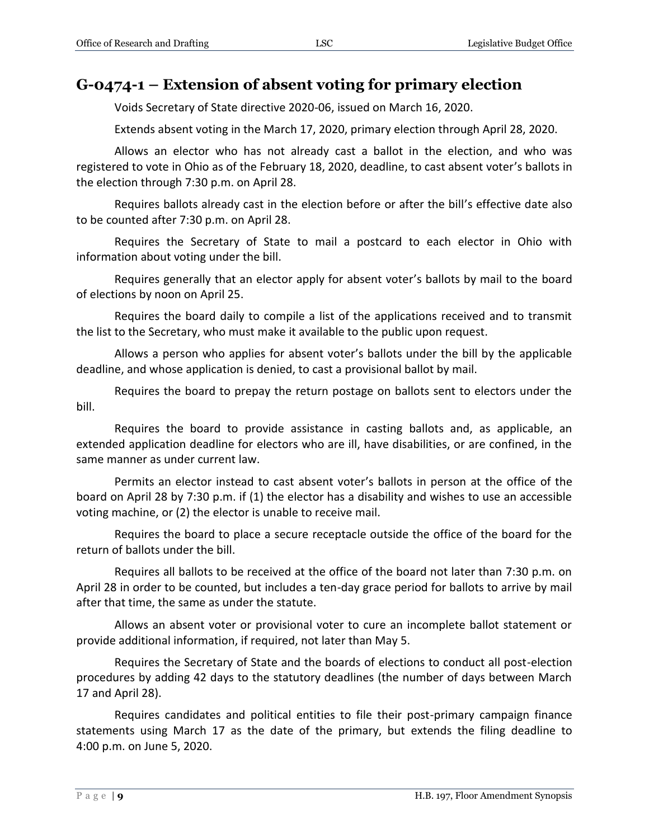#### **G-0474-1 – Extension of absent voting for primary election**

Voids Secretary of State directive 2020-06, issued on March 16, 2020.

Extends absent voting in the March 17, 2020, primary election through April 28, 2020.

Allows an elector who has not already cast a ballot in the election, and who was registered to vote in Ohio as of the February 18, 2020, deadline, to cast absent voter's ballots in the election through 7:30 p.m. on April 28.

Requires ballots already cast in the election before or after the bill's effective date also to be counted after 7:30 p.m. on April 28.

Requires the Secretary of State to mail a postcard to each elector in Ohio with information about voting under the bill.

Requires generally that an elector apply for absent voter's ballots by mail to the board of elections by noon on April 25.

Requires the board daily to compile a list of the applications received and to transmit the list to the Secretary, who must make it available to the public upon request.

Allows a person who applies for absent voter's ballots under the bill by the applicable deadline, and whose application is denied, to cast a provisional ballot by mail.

Requires the board to prepay the return postage on ballots sent to electors under the bill.

Requires the board to provide assistance in casting ballots and, as applicable, an extended application deadline for electors who are ill, have disabilities, or are confined, in the same manner as under current law.

Permits an elector instead to cast absent voter's ballots in person at the office of the board on April 28 by 7:30 p.m. if (1) the elector has a disability and wishes to use an accessible voting machine, or (2) the elector is unable to receive mail.

Requires the board to place a secure receptacle outside the office of the board for the return of ballots under the bill.

Requires all ballots to be received at the office of the board not later than 7:30 p.m. on April 28 in order to be counted, but includes a ten-day grace period for ballots to arrive by mail after that time, the same as under the statute.

Allows an absent voter or provisional voter to cure an incomplete ballot statement or provide additional information, if required, not later than May 5.

Requires the Secretary of State and the boards of elections to conduct all post-election procedures by adding 42 days to the statutory deadlines (the number of days between March 17 and April 28).

Requires candidates and political entities to file their post-primary campaign finance statements using March 17 as the date of the primary, but extends the filing deadline to 4:00 p.m. on June 5, 2020.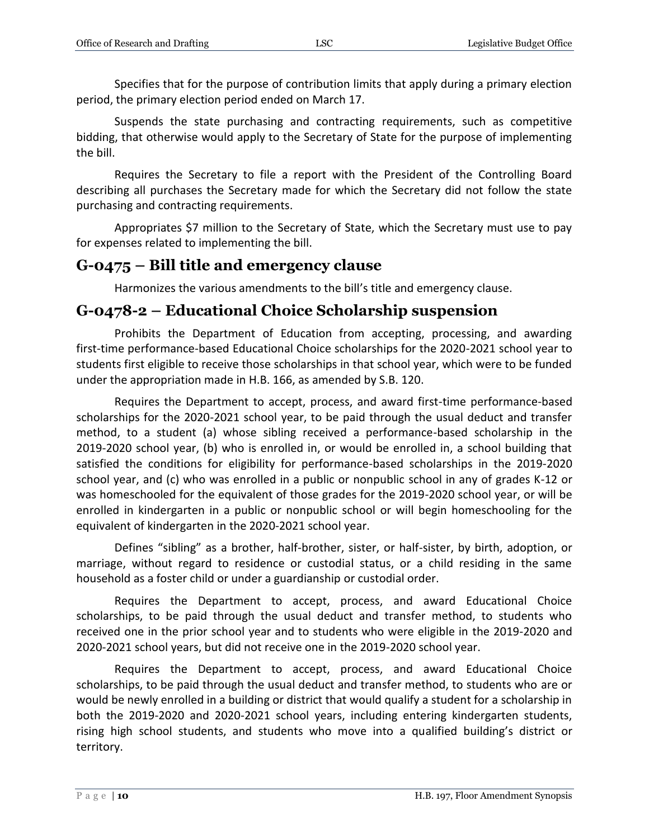Specifies that for the purpose of contribution limits that apply during a primary election period, the primary election period ended on March 17.

Suspends the state purchasing and contracting requirements, such as competitive bidding, that otherwise would apply to the Secretary of State for the purpose of implementing the bill.

Requires the Secretary to file a report with the President of the Controlling Board describing all purchases the Secretary made for which the Secretary did not follow the state purchasing and contracting requirements.

Appropriates \$7 million to the Secretary of State, which the Secretary must use to pay for expenses related to implementing the bill.

#### **G-0475 – Bill title and emergency clause**

Harmonizes the various amendments to the bill's title and emergency clause.

#### **G-0478-2 – Educational Choice Scholarship suspension**

Prohibits the Department of Education from accepting, processing, and awarding first-time performance-based Educational Choice scholarships for the 2020-2021 school year to students first eligible to receive those scholarships in that school year, which were to be funded under the appropriation made in H.B. 166, as amended by S.B. 120.

Requires the Department to accept, process, and award first-time performance-based scholarships for the 2020-2021 school year, to be paid through the usual deduct and transfer method, to a student (a) whose sibling received a performance-based scholarship in the 2019-2020 school year, (b) who is enrolled in, or would be enrolled in, a school building that satisfied the conditions for eligibility for performance-based scholarships in the 2019-2020 school year, and (c) who was enrolled in a public or nonpublic school in any of grades K-12 or was homeschooled for the equivalent of those grades for the 2019-2020 school year, or will be enrolled in kindergarten in a public or nonpublic school or will begin homeschooling for the equivalent of kindergarten in the 2020-2021 school year.

Defines "sibling" as a brother, half-brother, sister, or half-sister, by birth, adoption, or marriage, without regard to residence or custodial status, or a child residing in the same household as a foster child or under a guardianship or custodial order.

Requires the Department to accept, process, and award Educational Choice scholarships, to be paid through the usual deduct and transfer method, to students who received one in the prior school year and to students who were eligible in the 2019-2020 and 2020-2021 school years, but did not receive one in the 2019-2020 school year.

Requires the Department to accept, process, and award Educational Choice scholarships, to be paid through the usual deduct and transfer method, to students who are or would be newly enrolled in a building or district that would qualify a student for a scholarship in both the 2019-2020 and 2020-2021 school years, including entering kindergarten students, rising high school students, and students who move into a qualified building's district or territory.